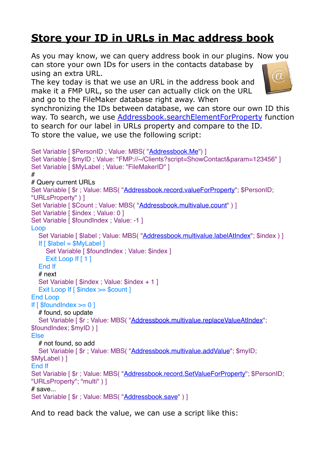## **[Store your ID in URLs in Mac address book](https://www.mbs-plugins.com/archive/2018-05-08/Store_your_ID_in_URLs_in_Mac_a/monkeybreadsoftware_blog_filemaker)**

As you may know, we can query address book in our plugins. Now you can store your own IDs for users in the contacts database by using an extra URL.

The key today is that we use an URL in the address book and make it a FMP URL, so the user can actually click on the URL and go to the FileMaker database right away. When



synchronizing the IDs between database, we can store our own ID this way. To search, we use [Addressbook.searchElementForProperty](http://www.mbsplugins.eu/AddressbooksearchElementForProperty.shtml) function to search for our label in URLs property and compare to the ID. To store the value, we use the following script:

```
"Addressbook.Me") ]
Set Variable [ $myID ; Value: "FMP://~/Clients?script=ShowContact&param=123456" ]
Set Variable [ $MyLabel ; Value: "FileMakerID" ]
#
# Query current URLs
Set Variable [ \text{\$r}"Addressbook.record.valueForProperty"; \text{\$PersonID;}"URLsProperty" ) ]
"Addressbook.multivalue.count" ) ]
Set Variable [ $index ; Value: 0 ]
Set Variable [ $foundIndex : Value: -1 ]
Loop
  Addressbook.multivalue.labelAtIndex"; $index ) ]
  If \lceil $label = $MyLabel 1
    Set Variable [ $foundIndex ; Value: $index ]
    Exit Loop If [ 1 ]
   End If
   # next
  Set Variable [ $index : Value: $index + 1 ]
  Exit Loop If \lceil $index \ge $count \rceilEnd Loop
If \lceil $foundlndex \gt=0 \lceil # found, so update
  Set Variable [ "Addressbook.multivalue.replaceValueAtIndex")$foundIndex; $myID ) ]
Else
   # not found, so add
  Set Variable [ r"Addressbook.multivalue.addValue"; $myID;
$MyLabel ) ]
End If
"Addressbook.record.SetValueForProperty"; $PersonID;
"URLsProperty"; "multi" ) ]
# save...
Set Variable [ "Addressbook.save")]
```
And to read back the value, we can use a script like this: